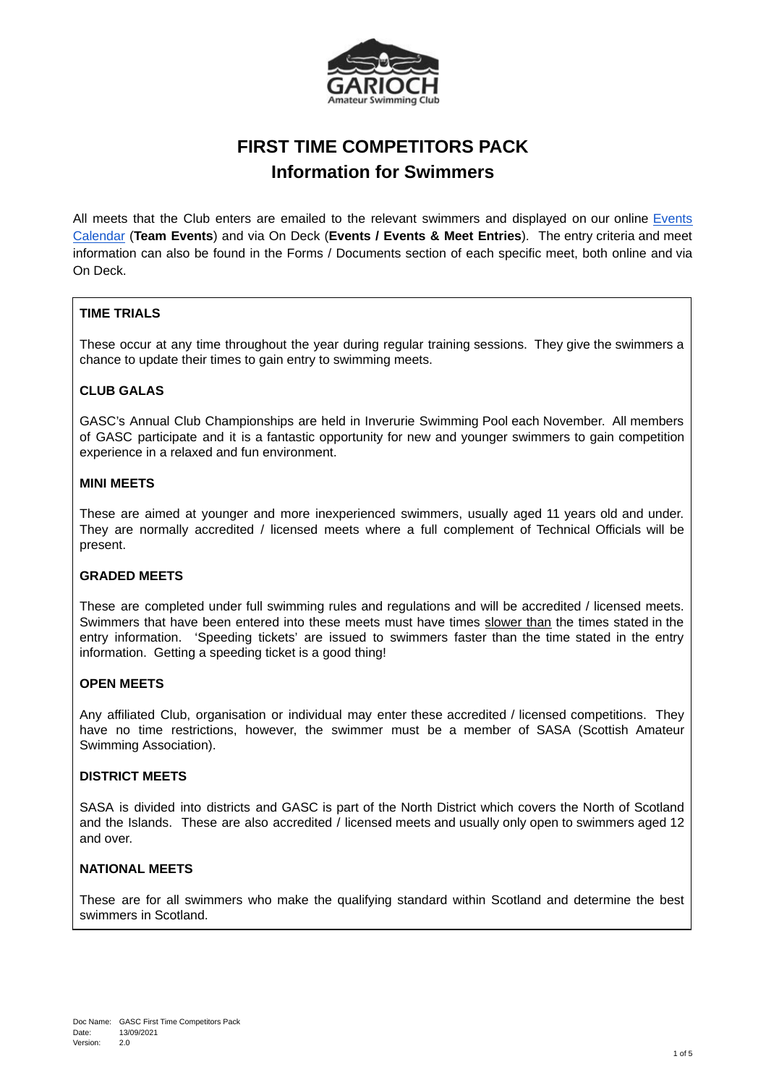

# **FIRST TIME COMPETITORS PACK Information for Swimmers**

All meets that the Club enters are emailed to the relevant swimmers and displayed on our online [Events](https://uk.teamunify.com/team/gasc/page/calendar#/team-events/upcoming) [Calendar](https://uk.teamunify.com/team/gasc/page/calendar#/team-events/upcoming) (**Team Events**) and via On Deck (**Events / Events & Meet Entries**). The entry criteria and meet information can also be found in the Forms / Documents section of each specific meet, both online and via On Deck.

# **TIME TRIALS**

These occur at any time throughout the year during regular training sessions. They give the swimmers a chance to update their times to gain entry to swimming meets.

# **CLUB GALAS**

GASC's Annual Club Championships are held in Inverurie Swimming Pool each November. All members of GASC participate and it is a fantastic opportunity for new and younger swimmers to gain competition experience in a relaxed and fun environment.

#### **MINI MEETS**

These are aimed at younger and more inexperienced swimmers, usually aged 11 years old and under. They are normally accredited / licensed meets where a full complement of Technical Officials will be present.

## **GRADED MEETS**

These are completed under full swimming rules and regulations and will be accredited / licensed meets. Swimmers that have been entered into these meets must have times slower than the times stated in the entry information. 'Speeding tickets' are issued to swimmers faster than the time stated in the entry information. Getting a speeding ticket is a good thing!

#### **OPEN MEETS**

Any affiliated Club, organisation or individual may enter these accredited / licensed competitions. They have no time restrictions, however, the swimmer must be a member of SASA (Scottish Amateur Swimming Association).

## **DISTRICT MEETS**

SASA is divided into districts and GASC is part of the North District which covers the North of Scotland and the Islands. These are also accredited / licensed meets and usually only open to swimmers aged 12 and over.

## **NATIONAL MEETS**

These are for all swimmers who make the qualifying standard within Scotland and determine the best swimmers in Scotland.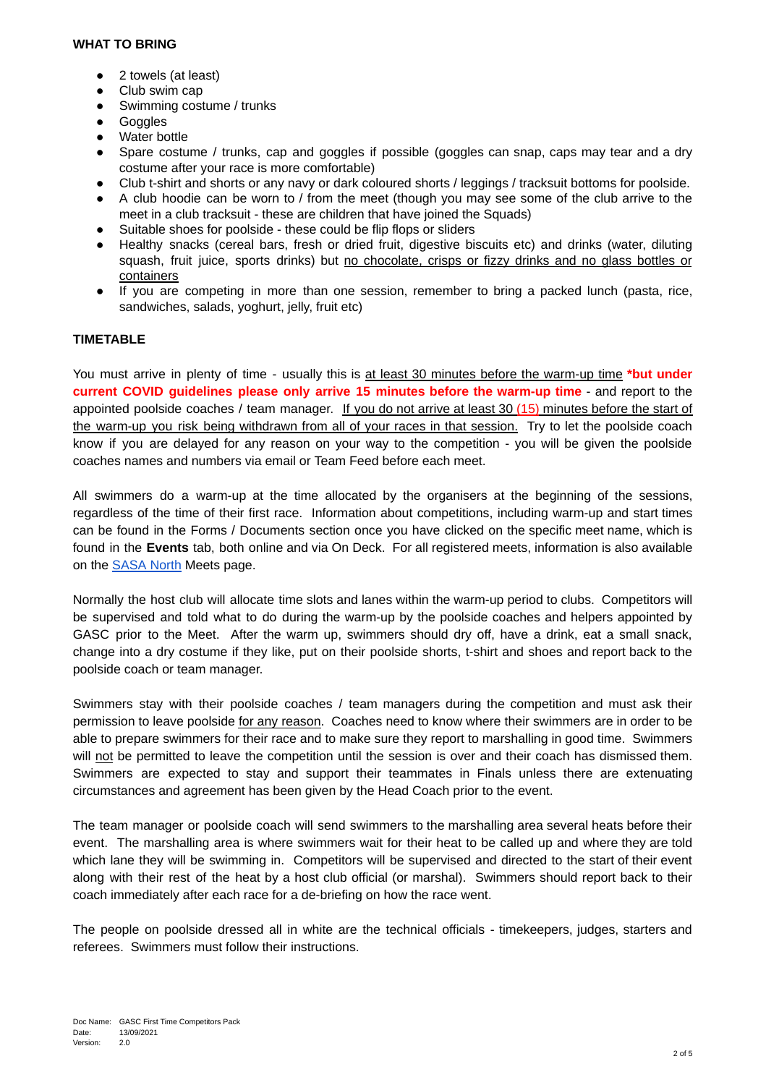#### **WHAT TO BRING**

- 2 towels (at least)
- Club swim cap
- Swimming costume / trunks
- Goggles
- Water bottle
- Spare costume / trunks, cap and goggles if possible (goggles can snap, caps may tear and a dry costume after your race is more comfortable)
- Club t-shirt and shorts or any navy or dark coloured shorts / leggings / tracksuit bottoms for poolside.
- A club hoodie can be worn to / from the meet (though you may see some of the club arrive to the meet in a club tracksuit - these are children that have joined the Squads)
- Suitable shoes for poolside these could be flip flops or sliders
- Healthy snacks (cereal bars, fresh or dried fruit, digestive biscuits etc) and drinks (water, diluting squash, fruit juice, sports drinks) but no chocolate, crisps or fizzy drinks and no glass bottles or containers
- If you are competing in more than one session, remember to bring a packed lunch (pasta, rice, sandwiches, salads, yoghurt, jelly, fruit etc)

#### **TIMETABLE**

You must arrive in plenty of time - usually this is at least 30 minutes before the warm-up time **\*but under current COVID guidelines please only arrive 15 minutes before the warm-up time** - and report to the appointed poolside coaches / team manager. If you do not arrive at least 30 (15) minutes before the start of the warm-up you risk being withdrawn from all of your races in that session. Try to let the poolside coach know if you are delayed for any reason on your way to the competition - you will be given the poolside coaches names and numbers via email or Team Feed before each meet.

All swimmers do a warm-up at the time allocated by the organisers at the beginning of the sessions, regardless of the time of their first race. Information about competitions, including warm-up and start times can be found in the Forms / Documents section once you have clicked on the specific meet name, which is found in the **Events** tab, both online and via On Deck. For all registered meets, information is also available on the [SASA](https://www.sasanorth.org.uk/) North Meets page.

Normally the host club will allocate time slots and lanes within the warm-up period to clubs. Competitors will be supervised and told what to do during the warm-up by the poolside coaches and helpers appointed by GASC prior to the Meet. After the warm up, swimmers should dry off, have a drink, eat a small snack, change into a dry costume if they like, put on their poolside shorts, t-shirt and shoes and report back to the poolside coach or team manager.

Swimmers stay with their poolside coaches / team managers during the competition and must ask their permission to leave poolside for any reason. Coaches need to know where their swimmers are in order to be able to prepare swimmers for their race and to make sure they report to marshalling in good time. Swimmers will not be permitted to leave the competition until the session is over and their coach has dismissed them. Swimmers are expected to stay and support their teammates in Finals unless there are extenuating circumstances and agreement has been given by the Head Coach prior to the event.

The team manager or poolside coach will send swimmers to the marshalling area several heats before their event. The marshalling area is where swimmers wait for their heat to be called up and where they are told which lane they will be swimming in. Competitors will be supervised and directed to the start of their event along with their rest of the heat by a host club official (or marshal). Swimmers should report back to their coach immediately after each race for a de-briefing on how the race went.

The people on poolside dressed all in white are the technical officials - timekeepers, judges, starters and referees. Swimmers must follow their instructions.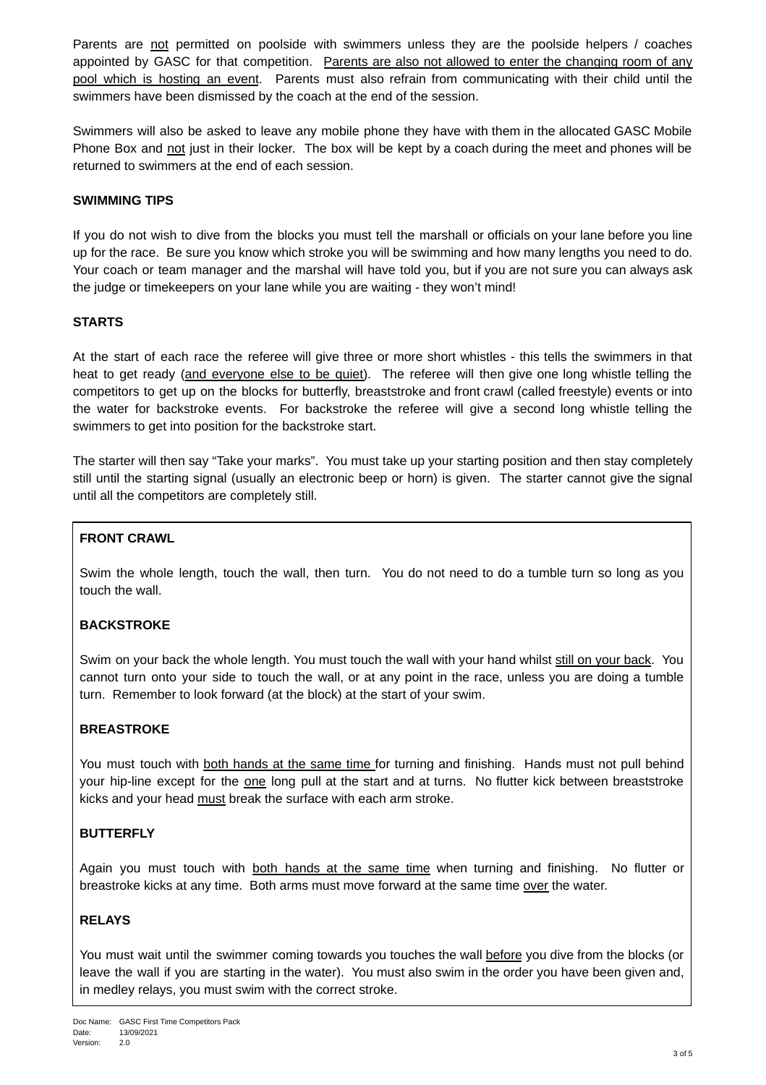Parents are not permitted on poolside with swimmers unless they are the poolside helpers / coaches appointed by GASC for that competition. Parents are also not allowed to enter the changing room of any pool which is hosting an event. Parents must also refrain from communicating with their child until the swimmers have been dismissed by the coach at the end of the session.

Swimmers will also be asked to leave any mobile phone they have with them in the allocated GASC Mobile Phone Box and not just in their locker. The box will be kept by a coach during the meet and phones will be returned to swimmers at the end of each session.

## **SWIMMING TIPS**

If you do not wish to dive from the blocks you must tell the marshall or officials on your lane before you line up for the race. Be sure you know which stroke you will be swimming and how many lengths you need to do. Your coach or team manager and the marshal will have told you, but if you are not sure you can always ask the judge or timekeepers on your lane while you are waiting - they won't mind!

# **STARTS**

At the start of each race the referee will give three or more short whistles - this tells the swimmers in that heat to get ready (and everyone else to be quiet). The referee will then give one long whistle telling the competitors to get up on the blocks for butterfly, breaststroke and front crawl (called freestyle) events or into the water for backstroke events. For backstroke the referee will give a second long whistle telling the swimmers to get into position for the backstroke start.

The starter will then say "Take your marks". You must take up your starting position and then stay completely still until the starting signal (usually an electronic beep or horn) is given. The starter cannot give the signal until all the competitors are completely still.

# **FRONT CRAWL**

Swim the whole length, touch the wall, then turn. You do not need to do a tumble turn so long as you touch the wall.

# **BACKSTROKE**

Swim on your back the whole length. You must touch the wall with your hand whilst still on your back. You cannot turn onto your side to touch the wall, or at any point in the race, unless you are doing a tumble turn. Remember to look forward (at the block) at the start of your swim.

## **BREASTROKE**

You must touch with both hands at the same time for turning and finishing. Hands must not pull behind your hip-line except for the one long pull at the start and at turns. No flutter kick between breaststroke kicks and your head must break the surface with each arm stroke.

## **BUTTERFLY**

Again you must touch with both hands at the same time when turning and finishing. No flutter or breastroke kicks at any time. Both arms must move forward at the same time over the water.

# **RELAYS**

You must wait until the swimmer coming towards you touches the wall before you dive from the blocks (or leave the wall if you are starting in the water). You must also swim in the order you have been given and, in medley relays, you must swim with the correct stroke.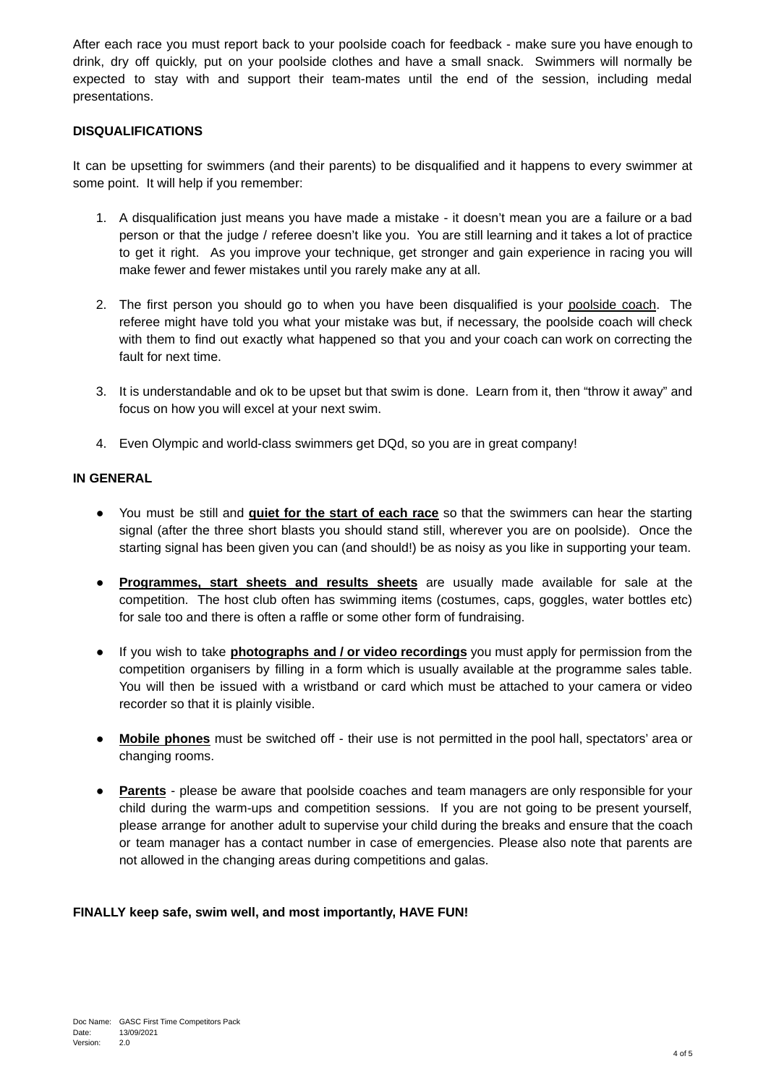After each race you must report back to your poolside coach for feedback - make sure you have enough to drink, dry off quickly, put on your poolside clothes and have a small snack. Swimmers will normally be expected to stay with and support their team-mates until the end of the session, including medal presentations.

# **DISQUALIFICATIONS**

It can be upsetting for swimmers (and their parents) to be disqualified and it happens to every swimmer at some point. It will help if you remember:

- 1. A disqualification just means you have made a mistake it doesn't mean you are a failure or a bad person or that the judge / referee doesn't like you. You are still learning and it takes a lot of practice to get it right. As you improve your technique, get stronger and gain experience in racing you will make fewer and fewer mistakes until you rarely make any at all.
- 2. The first person you should go to when you have been disqualified is your poolside coach. The referee might have told you what your mistake was but, if necessary, the poolside coach will check with them to find out exactly what happened so that you and your coach can work on correcting the fault for next time.
- 3. It is understandable and ok to be upset but that swim is done. Learn from it, then "throw it away" and focus on how you will excel at your next swim.
- 4. Even Olympic and world-class swimmers get DQd, so you are in great company!

## **IN GENERAL**

- You must be still and **quiet for the start of each race** so that the swimmers can hear the starting signal (after the three short blasts you should stand still, wherever you are on poolside). Once the starting signal has been given you can (and should!) be as noisy as you like in supporting your team.
- **● Programmes, start sheets and results sheets** are usually made available for sale at the competition. The host club often has swimming items (costumes, caps, goggles, water bottles etc) for sale too and there is often a raffle or some other form of fundraising.
- If you wish to take **photographs and / or video recordings** you must apply for permission from the competition organisers by filling in a form which is usually available at the programme sales table. You will then be issued with a wristband or card which must be attached to your camera or video recorder so that it is plainly visible.
- **● Mobile phones** must be switched off their use is not permitted in the pool hall, spectators' area or changing rooms.
- **● Parents** please be aware that poolside coaches and team managers are only responsible for your child during the warm-ups and competition sessions. If you are not going to be present yourself, please arrange for another adult to supervise your child during the breaks and ensure that the coach or team manager has a contact number in case of emergencies. Please also note that parents are not allowed in the changing areas during competitions and galas.

## **FINALLY keep safe, swim well, and most importantly, HAVE FUN!**